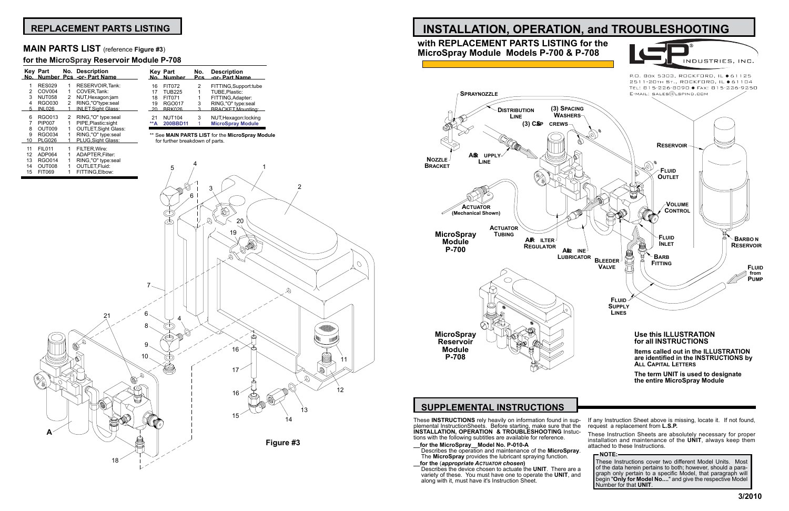These **INSTRUCTIONS** rely heavily on information found in supplemental InstructionSheets. Before starting, make sure that the **INSTALLATION, OPERATION & TROUBLESHOOTING** Instuctions with the following subtitles are available for reference.

- **\_\_for the MicroSpray\_\_Model No. P-010-A**
- Describes the operation and maintenance of the **MicroSpray**. The **MicroSpray** provides the lubricant spraying function. **\_\_for the** (*appropriate Actuator chosen***)** Describes the device chosen to actuate the **UNIT**. There are a variety of these. You must have one to operate the **UNIT**, and along with it, must have it's Instruction Sheet. **NOTE:** These Instructions cover two different Model Units. Most of the data herein pertains to both; however, should a paragraph only pertain to a specific Model, that paragraph will begin "**Only for Model No....**" and give the respective Model Number for that **UNIT**.
- 

- If any Instruction Sheet above is missing, locate it. If not found, request a replacement from **L.S.P.**
- These Instruction Sheets are absolutely necessary for proper installation and maintenance of the **UNIT**, always keep them attached to these Instructions.



# **SUPPLEMENTAL INSTRUCTIONS**

# **REPLACEMENT PARTS LISTING**

# **MAIN PARTS LIST** (reference **Figure #3**)

### **for the MicroSpray Reservoir Module P-708**

# 5  $^{4}$ 1 15 FIT069 1 FITTING,Elbow: 2 3 6 20 19  $\overline{O}$ 7  $\mathbb{Q}$ 6 21 4 8 9 16 10 11 17 12 16 13  $15$  14 **A Figure #3**

|                | <b>Key Part</b>                     |        | No. Description<br>No. Number Pcs -or- Part Name |            | <b>Key Part</b><br>No. Number  |
|----------------|-------------------------------------|--------|--------------------------------------------------|------------|--------------------------------|
| 1<br>2         | <b>RES029</b><br>COV <sub>004</sub> | 1      | <b>RESERVOIR Tank:</b><br>COVER.Tank:            | 16         | FIT072                         |
| 3              | <b>NUT058</b>                       | 1<br>2 | NUT, Hexagon: jam                                | 17<br>18   | <b>TUB225</b><br><b>FIT071</b> |
| 4<br>5         | <b>RGO030</b><br><b>INL026</b>      | 2      | RING,"O"type:seal<br><b>INLET Sight Glass:</b>   | 19<br>- 20 | <b>RGO017</b><br>BRK026        |
| 6              | RGO013                              | 2      | RING,"O" type:seal                               | 21         | <b>NUT104</b>                  |
| 7              | <b>PIP007</b>                       | 1      | PIPE, Plastic: sight                             | **А        | 200BBD11                       |
| 8              | OUT009                              |        | <b>OUTLET, Sight Glass:</b>                      |            |                                |
| 9              | <b>RGO034</b>                       |        | RING,"O" type:seal                               |            | ** See MAIN PAI                |
| 10             | <b>PLG026</b>                       |        | PLUG, Sight Glass:                               |            | for further brea               |
| 11             | <b>FIL011</b>                       | 1      | FILTER, Wire:                                    |            |                                |
| 12             | ADP064                              |        | ADAPTER, Filter:                                 |            |                                |
| 13             | <b>RGO014</b>                       |        | RING,"O" type:seal                               |            |                                |
| 14             | OUT008                              |        | OUTLET, Fluid:                                   |            | 5                              |
| $\overline{ }$ | <b>FITACO</b>                       |        | TITTINIO                                         |            |                                |

|      | No. Number    | <b>Pcs</b> | -or- Part Name           |
|------|---------------|------------|--------------------------|
| 16   | <b>FIT072</b> | 2          | FITTING, Support: tube   |
| 17   | <b>TUB225</b> | 1          | TUBE, Plastic:           |
| 18   | <b>FIT071</b> | 1          | FITTING, Adapter:        |
| 19   | <b>RGO017</b> | 3          | RING,"O" type:seal       |
| - 20 | <b>BRK026</b> | 3          | BRACKET, Mounting:       |
| 21   | <b>NUT104</b> | 3          | NUT, Hexagon: locking    |
| ** Δ | 200BBD11      |            | <b>MicroSpray Module</b> |

**RTS LIST** for the **MicroSpray Module** akdown of parts.

**No.** Description

18